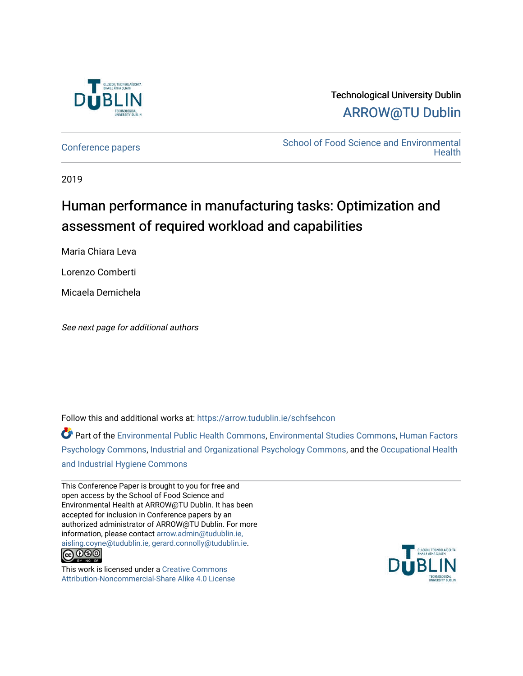

# Technological University Dublin [ARROW@TU Dublin](https://arrow.tudublin.ie/)

[Conference papers](https://arrow.tudublin.ie/schfsehcon) [School of Food Science and Environmental](https://arrow.tudublin.ie/schfseh)  **Health** 

2019

# Human performance in manufacturing tasks: Optimization and assessment of required workload and capabilities

Maria Chiara Leva

Lorenzo Comberti

Micaela Demichela

See next page for additional authors

Follow this and additional works at: [https://arrow.tudublin.ie/schfsehcon](https://arrow.tudublin.ie/schfsehcon?utm_source=arrow.tudublin.ie%2Fschfsehcon%2F31&utm_medium=PDF&utm_campaign=PDFCoverPages) 

Part of the [Environmental Public Health Commons](http://network.bepress.com/hgg/discipline/739?utm_source=arrow.tudublin.ie%2Fschfsehcon%2F31&utm_medium=PDF&utm_campaign=PDFCoverPages), [Environmental Studies Commons](http://network.bepress.com/hgg/discipline/1333?utm_source=arrow.tudublin.ie%2Fschfsehcon%2F31&utm_medium=PDF&utm_campaign=PDFCoverPages), [Human Factors](http://network.bepress.com/hgg/discipline/1412?utm_source=arrow.tudublin.ie%2Fschfsehcon%2F31&utm_medium=PDF&utm_campaign=PDFCoverPages) [Psychology Commons,](http://network.bepress.com/hgg/discipline/1412?utm_source=arrow.tudublin.ie%2Fschfsehcon%2F31&utm_medium=PDF&utm_campaign=PDFCoverPages) [Industrial and Organizational Psychology Commons,](http://network.bepress.com/hgg/discipline/412?utm_source=arrow.tudublin.ie%2Fschfsehcon%2F31&utm_medium=PDF&utm_campaign=PDFCoverPages) and the [Occupational Health](http://network.bepress.com/hgg/discipline/742?utm_source=arrow.tudublin.ie%2Fschfsehcon%2F31&utm_medium=PDF&utm_campaign=PDFCoverPages)  [and Industrial Hygiene Commons](http://network.bepress.com/hgg/discipline/742?utm_source=arrow.tudublin.ie%2Fschfsehcon%2F31&utm_medium=PDF&utm_campaign=PDFCoverPages) 

This Conference Paper is brought to you for free and open access by the School of Food Science and Environmental Health at ARROW@TU Dublin. It has been accepted for inclusion in Conference papers by an authorized administrator of ARROW@TU Dublin. For more information, please contact [arrow.admin@tudublin.ie,](mailto:arrow.admin@tudublin.ie,%20aisling.coyne@tudublin.ie,%20gerard.connolly@tudublin.ie)  [aisling.coyne@tudublin.ie, gerard.connolly@tudublin.ie](mailto:arrow.admin@tudublin.ie,%20aisling.coyne@tudublin.ie,%20gerard.connolly@tudublin.ie).<br>@009



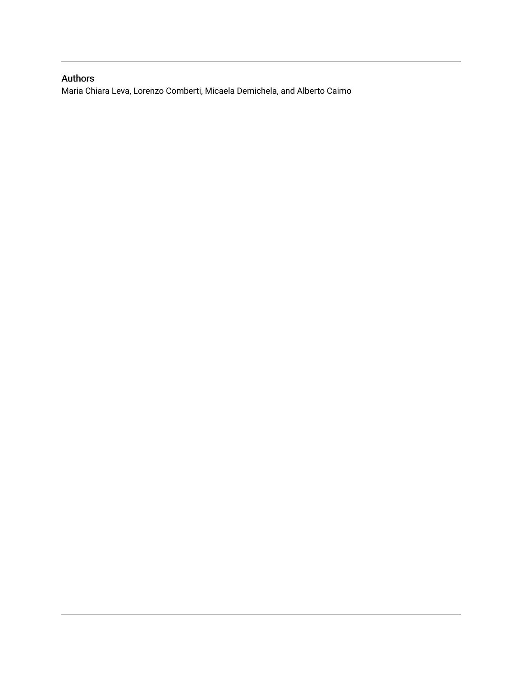## Authors

Maria Chiara Leva, Lorenzo Comberti, Micaela Demichela, and Alberto Caimo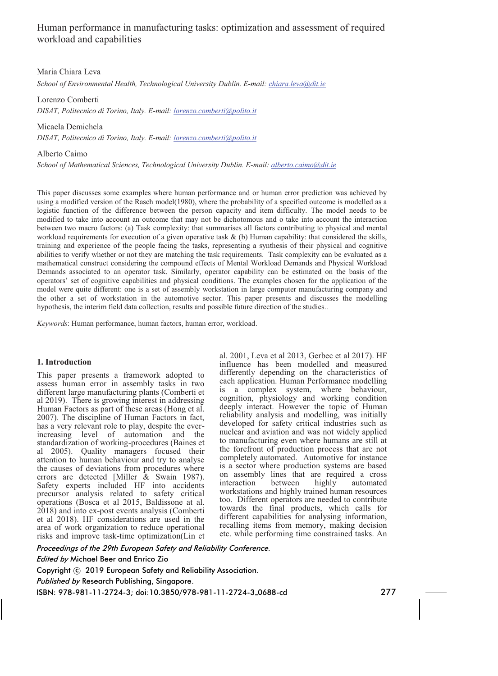### Human performance in manufacturing tasks: optimization and assessment of required workload and capabilities

Maria Chiara Leva School of Environmental Health, Technological University Dublin, E-mail: chiara.leva@dit.ie

Lorenzo Comberti DISAT, Politecnico di Torino, Italy. E-mail: lorenzo.comberti@polito.it

Micaela Demichela DISAT, Politecnico di Torino, Italy. E-mail: lorenzo.comberti@polito.it

#### Alberto Caimo

School of Mathematical Sciences, Technological University Dublin. E-mail: alberto.caimo@dit.ie

This paper discusses some examples where human performance and or human error prediction was achieved by using a modified version of the Rasch model (1980), where the probability of a specified outcome is modelled as a logistic function of the difference between the person capacity and item difficulty. The model needs to be modified to take into account an outcome that may not be dichotomous and o take into account the interaction between two macro factors: (a) Task complexity: that summarises all factors contributing to physical and mental workload requirements for execution of a given operative task  $\&$  (b) Human capability: that considered the skills, training and experience of the people facing the tasks, representing a synthesis of their physical and cognitive abilities to verify whether or not they are matching the task requirements. Task complexity can be evaluated as a mathematical construct considering the compound effects of Mental Workload Demands and Physical Workload Demands associated to an operator task. Similarly, operator capability can be estimated on the basis of the operators' set of cognitive capabilities and physical conditions. The examples chosen for the application of the model were quite different: one is a set of assembly workstation in large computer manufacturing company and the other a set of workstation in the automotive sector. This paper presents and discusses the modelling hypothesis, the interim field data collection, results and possible future direction of the studies..

Keywords: Human performance, human factors, human error, workload.

### 1. Introduction

This paper presents a framework adopted to assess human error in assembly tasks in two different large manufacturing plants (Comberti et al 2019). There is growing interest in addressing Human Factors as part of these areas (Hong et al. 2007). The discipline of Human Factors in fact, has a very relevant role to play, despite the everincreasing level of automation and the standardization of working-procedures (Baines et al 2005). Quality managers focused their attention to human behaviour and try to analyse the causes of deviations from procedures where errors are detected [Miller & Swain 1987). Safety experts included HF into accidents precursor analysis related to safety critical operations (Bosca et al 2015, Baldissone at al.  $2018$ ) and into ex-post events analysis (Comberti et al 2018). HF considerations are used in the area of work organization to reduce operational risks and improve task-time optimization(Lin et al. 2001, Leva et al 2013, Gerbec et al 2017). HF influence has been modelled and measured differently depending on the characteristics of each application. Human Performance modelling is a complex system, where behaviour, cognition, physiology and working condition deeply interact. However the topic of Human reliability analysis and modelling, was initially developed for safety critical industries such as nuclear and aviation and was not widely applied to manufacturing even where humans are still at the forefront of production process that are not completely automated. Automotive for instance is a sector where production systems are based on assembly lines that are required a cross interaction between highly automated workstations and highly trained human resources too. Different operators are needed to contribute towards the final products, which calls for different capabilities for analysing information, recalling items from memory, making decision etc. while performing time constrained tasks. An

Proceedings of the 29th European Safety and Reliability Conference.

**Edited by Michael Beer and Enrico Zio** 

Copyright © 2019 European Safety and Reliability Association. Published by Research Publishing, Singapore. ISBN: 978-981-11-2724-3; doi:10.3850/978-981-11-2724-3\_0688-cd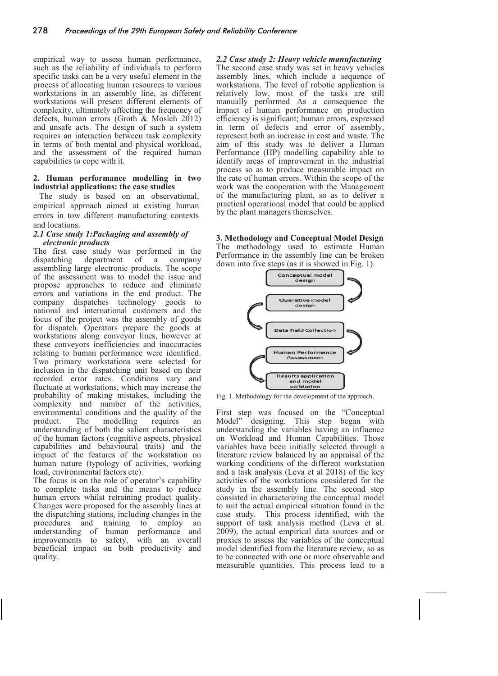empirical way to assess human performance, such as the reliability of individuals to perform specific tasks can be a very useful element in the process of allocating human resources to various workstations in an assembly line, as different workstations will present different elements of complexity, ultimately affecting the frequency of defects, human errors (Groth  $&$  Mosleh 2012) and unsafe acts. The design of such a system requires an interaction between task complexity in terms of both mental and physical workload, and the assessment of the required human capabilities to cope with it.

#### **2. Human performance modelling in two industrial applications: the case studies**

The study is based on an observational, empirical approach aimed at existing human errors in tow different manufacturing contexts and locations.

#### *2.1 Case study 1:Packaging and assembly of electronic products*

The first case study was performed in the dispatching department of a company dispatching department of a assembling large electronic products. The scope of the assessment was to model the issue and propose approaches to reduce and eliminate errors and variations in the end product. The company dispatches technology goods to national and international customers and the focus of the project was the assembly of goods for dispatch. Operators prepare the goods at workstations along conveyor lines, however at these conveyors inefficiencies and inaccuracies relating to human performance were identified. Two primary workstations were selected for inclusion in the dispatching unit based on their recorded error rates. Conditions vary and fluctuate at workstations, which may increase the probability of making mistakes, including the complexity and number of the activities, environmental conditions and the quality of the product. The modelling requires an understanding of both the salient characteristics of the human factors (cognitive aspects, physical capabilities and behavioural traits) and the impact of the features of the workstation on human nature (typology of activities, working load, environmental factors etc).

The focus is on the role of operator's capability to complete tasks and the means to reduce human errors whilst retraining product quality. Changes were proposed for the assembly lines at the dispatching stations, including changes in the procedures and training to employ an understanding of human performance and improvements to safety, with an overall beneficial impact on both productivity and quality.

*2.2 Case study 2: Heavy vehicle manufacturing*  The second case study was set in heavy vehicles assembly lines, which include a sequence of workstations. The level of robotic application is relatively low, most of the tasks are still manually performed As a consequence the impact of human performance on production efficiency is significant; human errors, expressed in term of defects and error of assembly, represent both an increase in cost and waste. The aim of this study was to deliver a Human Performance (HP) modelling capability able to identify areas of improvement in the industrial process so as to produce measurable impact on the rate of human errors. Within the scope of the work was the cooperation with the Management of the manufacturing plant, so as to deliver a practical operational model that could be applied by the plant managers themselves.

**3. Methodology and Conceptual Model Design**  The methodology used to estimate Human Performance in the assembly line can be broken down into five steps (as it is showed in Fig. 1).



Fig. 1. Methodology for the development of the approach.

First step was focused on the "Conceptual Model" designing. This step began with understanding the variables having an influence on Workload and Human Capabilities. Those variables have been initially selected through a literature review balanced by an appraisal of the working conditions of the different workstation and a task analysis (Leva et al 2018) of the key activities of the workstations considered for the study in the assembly line. The second step consisted in characterizing the conceptual model to suit the actual empirical situation found in the case study. This process identified, with the support of task analysis method (Leva et al. 2009), the actual empirical data sources and or proxies to assess the variables of the conceptual model identified from the literature review, so as to be connected with one or more observable and measurable quantities. This process lead to a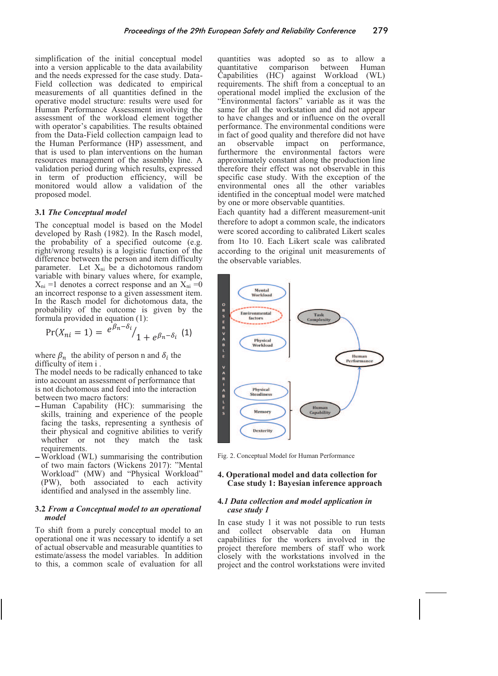simplification of the initial conceptual model into a version applicable to the data availability and the needs expressed for the case study. Data-Field collection was dedicated to empirical measurements of all quantities defined in the operative model structure: results were used for Human Performance Assessment involving the assessment of the workload element together with operator's capabilities. The results obtained from the Data-Field collection campaign lead to the Human Performance (HP) assessment, and that is used to plan interventions on the human resources management of the assembly line. A validation period during which results, expressed in term of production efficiency, will be monitored would allow a validation of the proposed model.

#### 3.1 The Conceptual model

The conceptual model is based on the Model developed by Rash (1982). In the Rasch model, the probability of a specified outcome (e.g. right/wrong results) is a logistic function of the difference between the person and item difficulty parameter. Let  $X_{ni}$  be a dichotomous random variable with binary values where, for example,  $X_{ni}$  =1 denotes a correct response and an  $X_{ni}$  =0 an incorrect response to a given assessment item. In the Rasch model for dichotomous data, the probability of the outcome is given by the formula provided in equation (1):

$$
Pr(X_{ni} = 1) = \frac{e^{\beta_n - \delta_i}}{1 + e^{\beta_n - \delta_i}} \tag{1}
$$

where  $\beta_n$  the ability of person n and  $\delta_i$  the difficulty of item i.

The model needs to be radically enhanced to take into account an assessment of performance that is not dichotomous and feed into the interaction between two macro factors:

- -Human Capability (HC): summarising the skills, training and experience of the people facing the tasks, representing a synthesis of their physical and cognitive abilities to verify whether or not they match the task requirements.
- -Workload (WL) summarising the contribution of two main factors (Wickens 2017): "Mental Workload" (MW) and "Physical Workload" (PW), both associated to each activity identified and analysed in the assembly line.

#### 3.2 From a Conceptual model to an operational model

To shift from a purely conceptual model to an operational one it was necessary to identify a set of actual observable and measurable quantities to estimate/assess the model variables. In addition to this, a common scale of evaluation for all

quantities was adopted so as to allow a comparison between Human quantitative Capabilities (HC) against Workload (WL) requirements. The shift from a conceptual to an operational model implied the exclusion of the "Environmental factors" variable as it was the same for all the workstation and did not appear to have changes and or influence on the overall performance. The environmental conditions were in fact of good quality and therefore did not have observable impact performance. an on furthermore the environmental factors were approximately constant along the production line therefore their effect was not observable in this specific case study. With the exception of the environmental ones all the other variables identified in the conceptual model were matched by one or more observable quantities.

Each quantity had a different measurement-unit therefore to adopt a common scale, the indicators were scored according to calibrated Likert scales from 1to 10. Each Likert scale was calibrated according to the original unit measurements of the observable variables.



Fig. 2. Conceptual Model for Human Performance

### 4. Operational model and data collection for Case study 1: Bayesian inference approach

#### 4.1 Data collection and model application in case study 1

In case study 1 it was not possible to run tests and collect observable data on Human capabilities for the workers involved in the project therefore members of staff who work closely with the workstations involved in the project and the control workstations were invited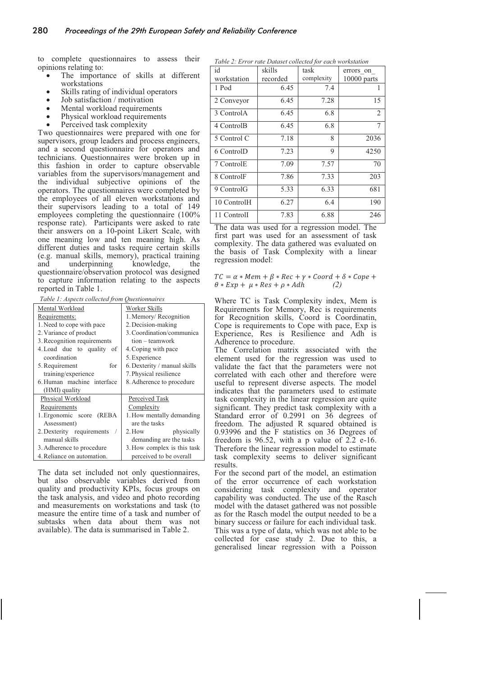to complete questionnaires to assess their opinions relating to:

- The importance of skills at different workstations
- Skills rating of individual operators
- Job satisfaction / motivation
- Mental workload requirements
- Physical workload requirements
- Perceived task complexity

Two questionnaires were prepared with one for supervisors, group leaders and process engineers, and a second questionnaire for operators and technicians. Ouestionnaires were broken up in this fashion in order to capture observable variables from the supervisors/management and the individual subjective opinions of the operators. The questionnaires were completed by the employees of all eleven workstations and their supervisors leading to a total of 149 employees completing the questionnaire (100%) response rate). Participants were asked to rate their answers on a 10-point Likert Scale, with one meaning low and ten meaning high. As different duties and tasks require certain skills (e.g. manual skills, memory), practical training and underpinning knowledge, the questionnaire/observation protocol was designed to capture information relating to the aspects reported in Table 1.

Table 1: Aspects collected from Questionnaires

| Table 1. Aspects concencu from Questionnan es |                              |
|-----------------------------------------------|------------------------------|
| Mental Workload                               | Worker Skills                |
| Requirements:                                 | 1. Memory/Recognition        |
| 1. Need to cope with pace                     | 2. Decision-making           |
| 2. Variance of product                        | 3. Coordination/communica    |
| 3. Recognition requirements                   | tion – teamwork              |
| 4. Load due to quality<br>of                  | 4. Coping with pace          |
| coordination                                  | 5. Experience                |
| for<br>5. Requirement                         | 6. Dexterity / manual skills |
| training/experience                           | 7. Physical resilience       |
| 6. Human machine interface                    | 8. Adherence to procedure    |
| (HMI) quality                                 |                              |
| Physical Workload                             | Perceived Task               |
| Requirements                                  | Complexity                   |
| 1. Ergonomic score (REBA                      | 1. How mentally demanding    |
| Assessment)                                   | are the tasks                |
| 2. Dexterity requirements                     | 2. How<br>physically         |
| manual skills                                 | demanding are the tasks      |
| 3. Adherence to procedure                     | 3. How complex is this task  |
| 4. Reliance on automation.                    | perceived to be overall      |

The data set included not only questionnaires, but also observable variables derived from quality and productivity KPIs, focus groups on the task analysis, and video and photo recording and measurements on workstations and task (to measure the entire time of a task and number of subtasks when data about them was not available). The data is summarised in Table 2.

Table 2: Error rate Dataset collected for each workstation

| id          | skills   | task       | errors on      |
|-------------|----------|------------|----------------|
| workstation | recorded | complexity | 10000 parts    |
| 1 Pod       | 6.45     | 7.4        |                |
| 2 Conveyor  | 6.45     | 7.28       | 15             |
| 3 ControlA  | 6.45     | 6.8        | $\overline{2}$ |
| 4 ControlB  | 6.45     | 6.8        | 7              |
| 5 Control C | 7.18     | 8          | 2036           |
| 6 ControlD  | 7.23     | 9          | 4250           |
| 7 ControlE  | 7.09     | 7.57       | 70             |
| 8 ControlF  | 7.86     | 7.33       | 203            |
| 9 ControlG  | 5.33     | 6.33       | 681            |
| 10 ControlH | 6.27     | 6.4        | 190            |
| 11 ControlI | 7.83     | 6.88       | 246            |

The data was used for a regression model. The first part was used for an assessment of task complexity. The data gathered was evaluated on the basis of Task Complexity with a linear regression model:

 $TC = \alpha * Mem + \beta * Rec + \gamma * Coord + \delta * Cope +$  $\theta * Exp + \mu * Res + \rho * Adh$  $(2)$ 

Where TC is Task Complexity index, Mem is Requirements for Memory, Rec is requirements for Recognition skills, Coord is Coordinatin, Cope is requirements to Cope with pace, Exp is Experience, Res is Resilience and Adh is Adherence to procedure.

The Correlation matrix associated with the element used for the regression was used to validate the fact that the parameters were not correlated with each other and therefore were useful to represent diverse aspects. The model indicates that the parameters used to estimate task complexity in the linear regression are quite significant. They predict task complexity with a Standard error of 0.2991 on 36 degrees of<br>freedom. The adjusted R squared obtained is 0.93996 and the F statistics on 36 Degrees of freedom is 96.52, with a p value of  $2.2$  e-16. Therefore the linear regression model to estimate task complexity seems to deliver significant results.

For the second part of the model, an estimation of the error occurrence of each workstation considering task complexity and operator capability was conducted. The use of the Rasch model with the dataset gathered was not possible as for the Rasch model the output needed to be a binary success or failure for each individual task. This was a type of data, which was not able to be collected for case study 2. Due to this, a generalised linear regression with a Poisson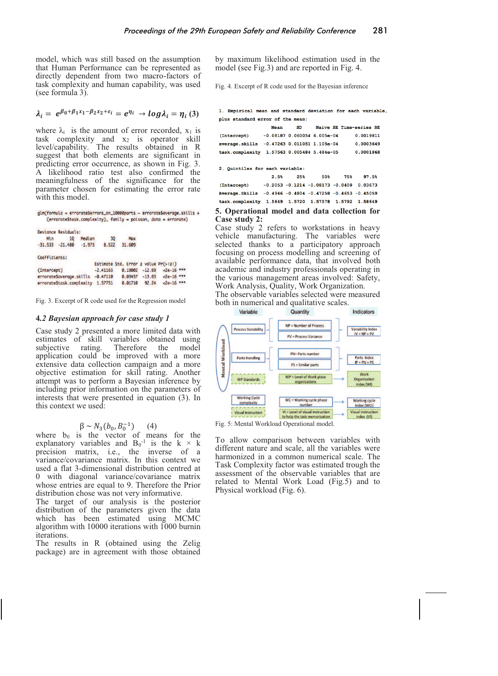model, which was still based on the assumption that Human Performance can be represented as directly dependent from two macro-factors of task complexity and human capability, was used  $(see formula 3).$ 

$$
\lambda_i = e^{\beta_0 + \beta_1 x_1 - \beta_2 x_2 + \varepsilon_i} = e^{\eta_i} \rightarrow \log \lambda_i = \eta_i \ (3)
$$

where  $\lambda_i$  is the amount of error recorded,  $x_1$  is task complexity and  $x_2$  is operator skill level/capability. The results obtained in R suggest that both elements are significant in predicting error occurrence, as shown in Fig. 3. A likelihood ratio test also confirmed the meaningfulness of the significance for the parameter chosen for estimating the error rate with this model.

glm(formula = errorateSerrors\_on\_10000parts ~ errorateSaverage.skills + (errorateStask.complexity), family = poisson, data = errorate)

|               | Deviance Residuals:              |          |            |                                      |                   |             |     |
|---------------|----------------------------------|----------|------------|--------------------------------------|-------------------|-------------|-----|
| Min           | 10                               | Median   | 30         | Max                                  |                   |             |     |
| $-31.533$     | $-21.480$                        | $-1.975$ | 8.522      | 31.609                               |                   |             |     |
| Coefficients: |                                  |          |            |                                      |                   |             |     |
|               |                                  |          |            | Estimate Std. Error z value Pr(> z ) |                   |             |     |
| (Intercept)   |                                  |          | $-2.41163$ |                                      | $0.19002 -12.69$  | $2e-16$ *** |     |
|               | errorateSaverage.skills -0.47110 |          |            |                                      | $0.03457 - 13.63$ | $2e-16$     | *** |
|               | errorateStask.complexity 1.57751 |          |            | 0.01710                              | 92.24             | $2e-16$ *** |     |
|               |                                  |          |            |                                      |                   |             |     |

Fig. 3. Excerpt of R code used for the Regression model

#### **4***.2 Bayesian approach for case study 1*

Case study 2 presented a more limited data with estimates of skill variables obtained using<br>subjective rating. Therefore the model subjective rating. Therefore the model application could be improved with a more extensive data collection campaign and a more objective estimation for skill rating. Another attempt was to perform a Bayesian inference by including prior information on the parameters of interests that were presented in equation  $(3)$ . In this context we used:

$$
\beta \sim N_3(b_0, B_0^{-1}) \quad (4)
$$

where  $b_0$  is the vector of means for the explanatory variables and  $B_0^{-1}$  is the k  $\times$  k precision matrix, i.e., the inverse of a variance/covariance matrix. In this context we used a flat 3-dimensional distribution centred at 0 with diagonal variance/covariance matrix whose entries are equal to 9. Therefore the Prior distribution chose was not very informative.

The target of our analysis is the posterior distribution of the parameters given the data which has been estimated using MCMC algorithm with 10000 iterations with 1000 burnin iterations.

The results in R (obtained using the Zelig package) are in agreement with those obtained by maximum likelihood estimation used in the model (see Fig. 3) and are reported in Fig. 4.

Fig. 4. Excerpt of R code used for the Bayesian inference

|                                  |  | 1. Empirical mean and standard deviation for each variable, |  |  |
|----------------------------------|--|-------------------------------------------------------------|--|--|
| plus standard error of the mean: |  |                                                             |  |  |

|                                            | Mean | SD |                               | Naive SE Time-series SE |
|--------------------------------------------|------|----|-------------------------------|-------------------------|
| (Intercept)                                |      |    | $-0.08187$ 0.060054 6.005e-04 | 0.0019811               |
| average.skills -0.47263 0.011051 1.105e-04 |      |    |                               | 0.0003649               |
| task.complexity 1.57563 0.005484 5.484e-05 |      |    |                               | 0.0001868               |

2. Ouintiles for each variable:

|                                                          | 2.5% | 25% | 50%                                           | 75% | 97.5% |
|----------------------------------------------------------|------|-----|-----------------------------------------------|-----|-------|
| (Intercept)                                              |      |     | $-0.2053 - 0.1214 - 0.08173 - 0.0409$ 0.03673 |     |       |
| Average.Skills -0.4946 -0.4804 -0.47258 -0.4653 -0.45059 |      |     |                                               |     |       |
| task.complexity 1.5649 1.5720 1.57578 1.5792 1.58649     |      |     |                                               |     |       |

#### **5. Operational model and data collection for Case study 2:**

Case study 2 refers to workstations in heavy vehicle manufacturing. The variables were selected thanks to a participatory approach focusing on process modelling and screening of available performance data, that involved both academic and industry professionals operating in the various management areas involved: Safety, Work Analysis, Quality, Work Organization.

The observable variables selected were measured both in numerical and qualitative scales.



Fig. 5: Mental Workload Operational model.

To allow comparison between variables with different nature and scale, all the variables were harmonized in a common numerical scale. The Task Complexity factor was estimated trough the assessment of the observable variables that are related to Mental Work Load (Fig.5) and to Physical workload (Fig. 6).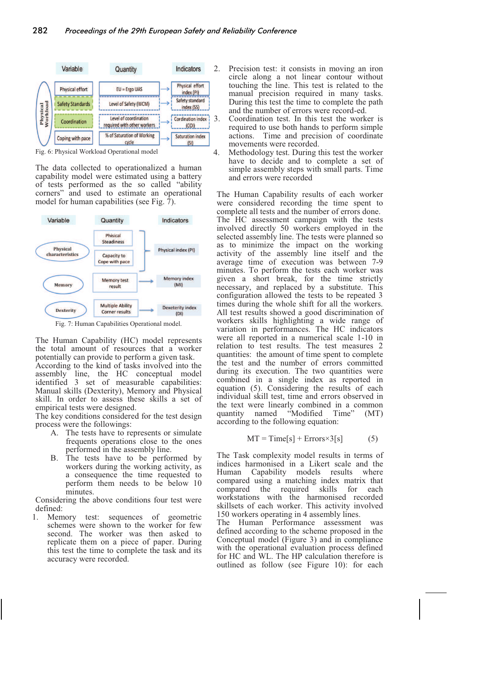

Fig. 6: Physical Workload Operational model

The data collected to operationalized a human capability model were estimated using a battery of tests performed as the so called "ability corners" and used to estimate an operational model for human capabilities (see Fig.  $\bar{7}$ ).



Fig. 7: Human Capabilities Operational model.

The Human Capability (HC) model represents the total amount of resources that a worker potentially can provide to perform a given task.

According to the kind of tasks involved into the assembly line, the HC conceptual model identified 3 set of measurable capabilities: Manual skills (Dexterity), Memory and Physical skill. In order to assess these skills a set of empirical tests were designed.

The key conditions considered for the test design process were the followings:

- A. The tests have to represents or simulate frequents operations close to the ones performed in the assembly line.
- B. The tests have to be performed by workers during the working activity, as a consequence the time requested to perform them needs to be below 10 minutes.

Considering the above conditions four test were defined:

1. Memory test: sequences of geometric schemes were shown to the worker for few second. The worker was then asked to replicate them on a piece of paper. During this test the time to complete the task and its accuracy were recorded.

- Precision test: it consists in moving an iron  $2^{1}$ circle along a not linear contour without touching the line. This test is related to the manual precision required in many tasks. During this test the time to complete the path and the number of errors were record-ed.
- Coordination test. In this test the worker is  $\mathcal{R}$ required to use both hands to perform simple actions. Time and precision of coordinate movements were recorded.
- $\overline{4}$ . Methodology test. During this test the worker have to decide and to complete a set of simple assembly steps with small parts. Time and errors were recorded

The Human Capability results of each worker were considered recording the time spent to complete all tests and the number of errors done. The HC assessment campaign with the tests involved directly 50 workers employed in the selected assembly line. The tests were planned so as to minimize the impact on the working activity of the assembly line itself and the average time of execution was between 7-9 minutes. To perform the tests each worker was given a short break, for the time strictly necessary, and replaced by a substitute. This configuration allowed the tests to be repeated 3 times during the whole shift for all the workers. All test results showed a good discrimination of workers skills highlighting a wide range of variation in performances. The HC indicators were all reported in a numerical scale 1-10 in relation to test results. The test measures 2 quantities: the amount of time spent to complete the test and the number of errors committed during its execution. The two quantities were combined in a single index as reported in equation (5). Considering the results of each individual skill test, time and errors observed in the text were linearly combined in a common quantity named "Modified Time"  $(MT)$ according to the following equation:

$$
MT = Time[s] + Errors \times 3[s] \tag{5}
$$

The Task complexity model results in terms of indices harmonised in a Likert scale and the Capability models results Human where compared using a matching index matrix that required skills compared the for each workstations with the harmonised recorded skillsets of each worker. This activity involved 150 workers operating in 4 assembly lines.

The Human Performance assessment was defined according to the scheme proposed in the Conceptual model (Figure 3) and in compliance with the operational evaluation process defined for HC and WL. The HP calculation therefore is outlined as follow (see Figure 10): for each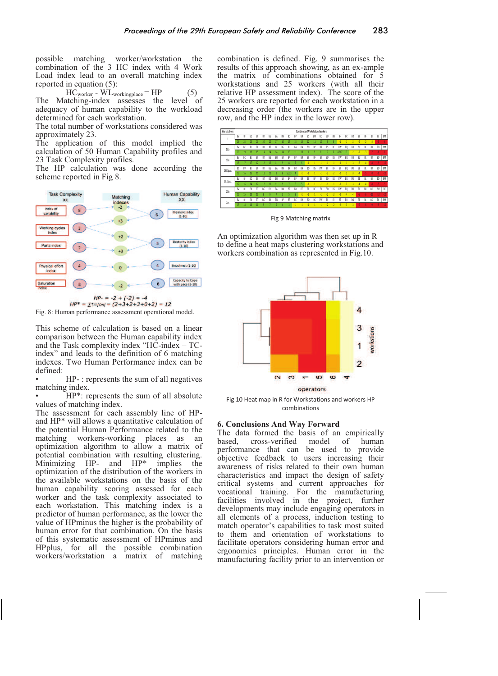possible matching worker/workstation the combination of the 3 HC index with 4 Work Load index lead to an overall matching index reported in equation  $(5)$ :

 $HC_{worker}$  -  $WL_{workingplace} = HP$  $(5)$ The Matching-index assesses the level of adequacy of human capability to the workload determined for each workstation.

The total number of workstations considered was approximately 23.

The application of this model implied the calculation of 50 Human Capability profiles and 23 Task Complexity profiles.

The HP calculation was done according the scheme reported in Fig 8.



Fig. 8: Human performance assessment operational model.

This scheme of calculation is based on a linear comparison between the Human capability index and the Task complexity index " $HC$ -index  $-TC$ index" and leads to the definition of 6 matching indexes. Two Human Performance index can be defined:

HP-: represents the sum of all negatives matching index.

HP<sup>\*</sup>: represents the sum of all absolute values of matching index.

The assessment for each assembly line of HPand HP\* will allows a quantitative calculation of the potential Human Performance related to the matching workers-working places as an optimization algorithm to allow a matrix of potential combination with resulting clustering. Minimizing HP- and HP\* implies the optimization of the distribution of the workers in the available workstations on the basis of the human capability scoring assessed for each worker and the task complexity associated to each workstation. This matching index is a predictor of human performance, as the lower the value of HPminus the higher is the probability of human error for that combination. On the basis of this systematic assessment of HPminus and HPplus, for all the possible combination<br>workers/workstation a matrix of matching combination is defined. Fig. 9 summarises the results of this approach showing, as an ex-ample the matrix of combinations obtained for 5 workstations and 25 workers (with all their relative HP assessment index). The score of the 25 workers are reported for each workstation in a decreasing order (the workers are in the upper row, and the HP index in the lower row).



Fig 9 Matching matrix

An optimization algorithm was then set up in R to define a heat maps clustering workstations and workers combination as represented in Fig.10.



Fig 10 Heat map in R for Workstations and workers HP combinations

#### **6. Conclusions And Way Forward**

The data formed the basis of an empirically based. cross-verified model of human performance that can be used to provide objective feedback to users increasing their awareness of risks related to their own human characteristics and impact the design of safety critical systems and current approaches for vocational training. For the manufacturing facilities involved in the project, further developments may include engaging operators in all elements of a process, induction testing to match operator's capabilities to task most suited to them and orientation of workstations to facilitate operators considering human error and ergonomics principles. Human error in the manufacturing facility prior to an intervention or